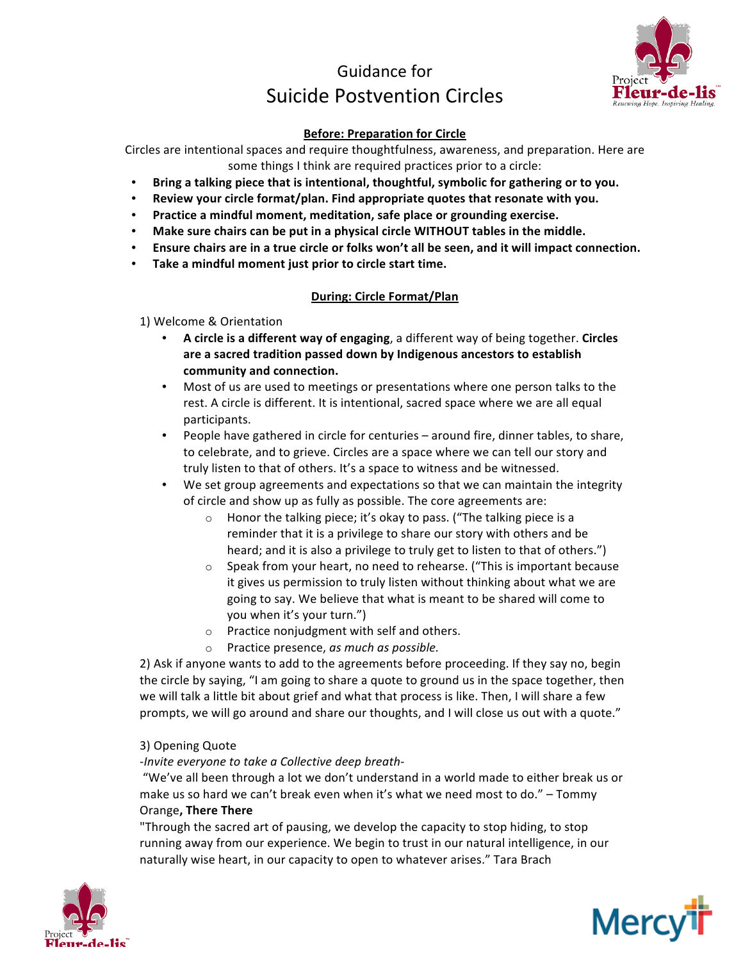# Guidance for Suicide Postvention Circles



# **Before: Preparation for Circle**

Circles are intentional spaces and require thoughtfulness, awareness, and preparation. Here are some things I think are required practices prior to a circle:

- Bring a talking piece that is intentional, thoughtful, symbolic for gathering or to you.
- Review your circle format/plan. Find appropriate quotes that resonate with you.
- **•** Practice a mindful moment, meditation, safe place or grounding exercise.
- Make sure chairs can be put in a physical circle WITHOUT tables in the middle.
- Ensure chairs are in a true circle or folks won't all be seen, and it will impact connection.
- Take a mindful moment just prior to circle start time.

## **During: Circle Format/Plan**

- 1) Welcome & Orientation
	- A circle is a different way of engaging, a different way of being together. Circles are a sacred tradition passed down by Indigenous ancestors to establish community and connection.
	- Most of us are used to meetings or presentations where one person talks to the rest. A circle is different. It is intentional, sacred space where we are all equal participants.
	- People have gathered in circle for centuries around fire, dinner tables, to share, to celebrate, and to grieve. Circles are a space where we can tell our story and truly listen to that of others. It's a space to witness and be witnessed.
	- We set group agreements and expectations so that we can maintain the integrity of circle and show up as fully as possible. The core agreements are:
		- $\circ$  Honor the talking piece; it's okay to pass. ("The talking piece is a reminder that it is a privilege to share our story with others and be heard; and it is also a privilege to truly get to listen to that of others.")
		- $\circ$  Speak from your heart, no need to rehearse. ("This is important because it gives us permission to truly listen without thinking about what we are going to say. We believe that what is meant to be shared will come to you when it's your turn.")
		- $\circ$  Practice nonjudgment with self and others.
		- o Practice presence, *as much as possible.*

2) Ask if anyone wants to add to the agreements before proceeding. If they say no, begin the circle by saying, "I am going to share a quote to ground us in the space together, then we will talk a little bit about grief and what that process is like. Then, I will share a few prompts, we will go around and share our thoughts, and I will close us out with a quote."

#### 3) Opening Quote

-Invite everyone to take a Collective deep breath-

"We've all been through a lot we don't understand in a world made to either break us or make us so hard we can't break even when it's what we need most to do." – Tommy Orange**, There There**

"Through the sacred art of pausing, we develop the capacity to stop hiding, to stop running away from our experience. We begin to trust in our natural intelligence, in our naturally wise heart, in our capacity to open to whatever arises." Tara Brach



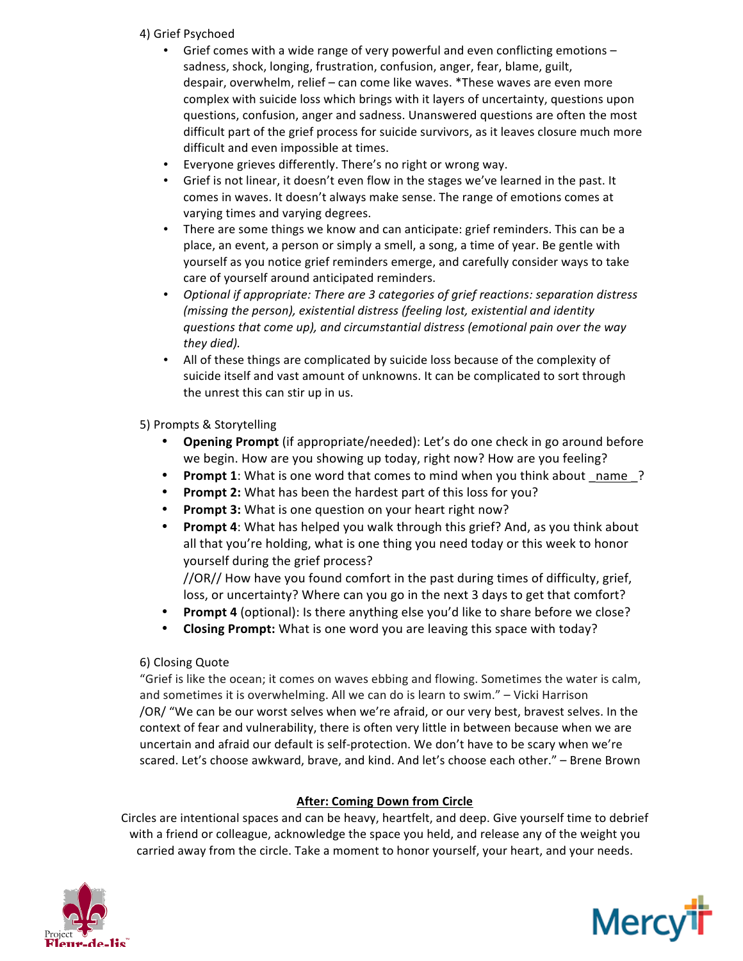# 4) Grief Psychoed

- Grief comes with a wide range of very powerful and even conflicting emotions  $$ sadness, shock, longing, frustration, confusion, anger, fear, blame, guilt, despair, overwhelm, relief – can come like waves. \*These waves are even more complex with suicide loss which brings with it layers of uncertainty, questions upon questions, confusion, anger and sadness. Unanswered questions are often the most difficult part of the grief process for suicide survivors, as it leaves closure much more difficult and even impossible at times.
- Everyone grieves differently. There's no right or wrong way.
- Grief is not linear, it doesn't even flow in the stages we've learned in the past. It comes in waves. It doesn't always make sense. The range of emotions comes at varying times and varying degrees.
- There are some things we know and can anticipate: grief reminders. This can be a place, an event, a person or simply a smell, a song, a time of year. Be gentle with yourself as you notice grief reminders emerge, and carefully consider ways to take care of yourself around anticipated reminders.
- *Optional if appropriate: There are 3 categories of grief reactions: separation distress (missing the person), existential distress (feeling lost, existential and identity questions that come up), and circumstantial distress (emotional pain over the way they died).*
- All of these things are complicated by suicide loss because of the complexity of suicide itself and vast amount of unknowns. It can be complicated to sort through the unrest this can stir up in us.

# 5) Prompts & Storytelling

- **Opening Prompt** (if appropriate/needed): Let's do one check in go around before we begin. How are you showing up today, right now? How are you feeling?
- **Prompt 1**: What is one word that comes to mind when you think about name ?
- Prompt 2: What has been the hardest part of this loss for you?
- Prompt 3: What is one question on your heart right now?
- Prompt 4: What has helped you walk through this grief? And, as you think about all that you're holding, what is one thing you need today or this week to honor yourself during the grief process?

//OR// How have you found comfort in the past during times of difficulty, grief, loss, or uncertainty? Where can you go in the next 3 days to get that comfort?

- **Prompt 4** (optional): Is there anything else you'd like to share before we close?
- Closing Prompt: What is one word you are leaving this space with today?

# 6) Closing Quote

"Grief is like the ocean; it comes on waves ebbing and flowing. Sometimes the water is calm, and sometimes it is overwhelming. All we can do is learn to swim."  $-$  Vicki Harrison /OR/ "We can be our worst selves when we're afraid, or our very best, bravest selves. In the context of fear and vulnerability, there is often very little in between because when we are uncertain and afraid our default is self-protection. We don't have to be scary when we're scared. Let's choose awkward, brave, and kind. And let's choose each other." - Brene Brown

# **After: Coming Down from Circle**

Circles are intentional spaces and can be heavy, heartfelt, and deep. Give yourself time to debrief with a friend or colleague, acknowledge the space you held, and release any of the weight you carried away from the circle. Take a moment to honor yourself, your heart, and your needs.



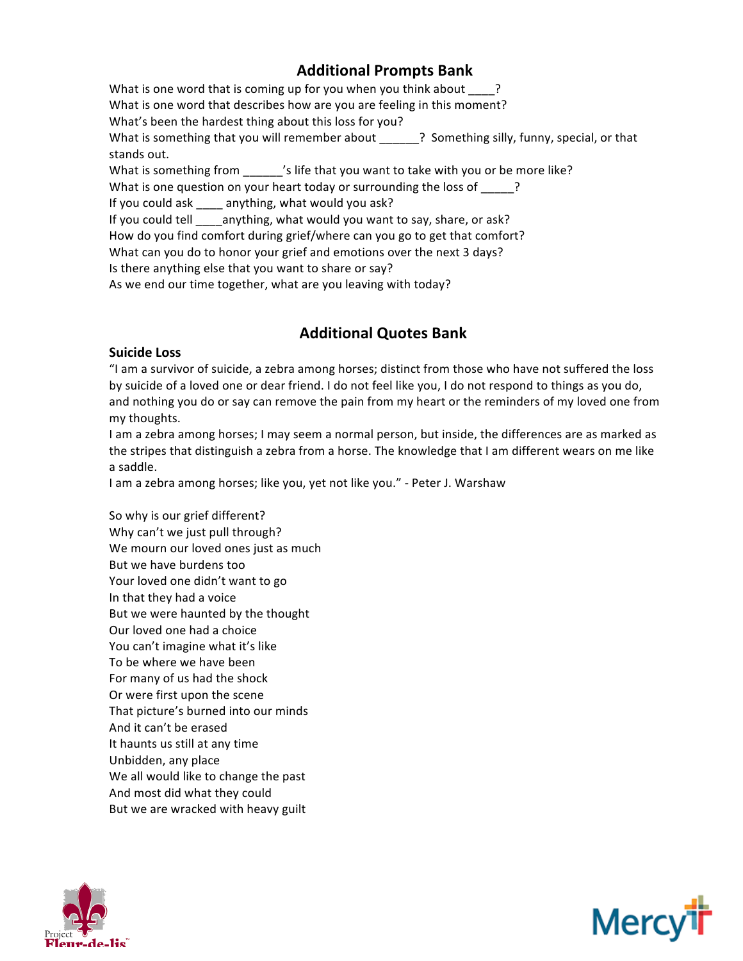# **Additional Prompts Bank**

What is one word that is coming up for you when you think about  $\qquad$ ? What is one word that describes how are you are feeling in this moment? What's been the hardest thing about this loss for you? What is something that you will remember about  $\qquad$  ? Something silly, funny, special, or that stands out. What is something from  $\frac{1}{\sqrt{2}}$  ife that you want to take with you or be more like? What is one question on your heart today or surrounding the loss of  $\qquad$ ? If you could ask \_\_\_\_ anything, what would you ask? If you could tell \_\_\_\_anything, what would you want to say, share, or ask? How do you find comfort during grief/where can you go to get that comfort? What can you do to honor your grief and emotions over the next 3 days? Is there anything else that you want to share or say? As we end our time together, what are you leaving with today?

# **Additional Quotes Bank**

## **Suicide Loss**

"I am a survivor of suicide, a zebra among horses; distinct from those who have not suffered the loss by suicide of a loved one or dear friend. I do not feel like you, I do not respond to things as you do, and nothing you do or say can remove the pain from my heart or the reminders of my loved one from my thoughts.

I am a zebra among horses; I may seem a normal person, but inside, the differences are as marked as the stripes that distinguish a zebra from a horse. The knowledge that I am different wears on me like a saddle.

I am a zebra among horses; like you, yet not like you." - Peter J. Warshaw

So why is our grief different? Why can't we just pull through? We mourn our loved ones just as much But we have burdens too Your loved one didn't want to go In that they had a voice But we were haunted by the thought Our loved one had a choice You can't imagine what it's like To be where we have been For many of us had the shock Or were first upon the scene That picture's burned into our minds And it can't be erased It haunts us still at any time Unbidden, any place We all would like to change the past And most did what they could But we are wracked with heavy guilt



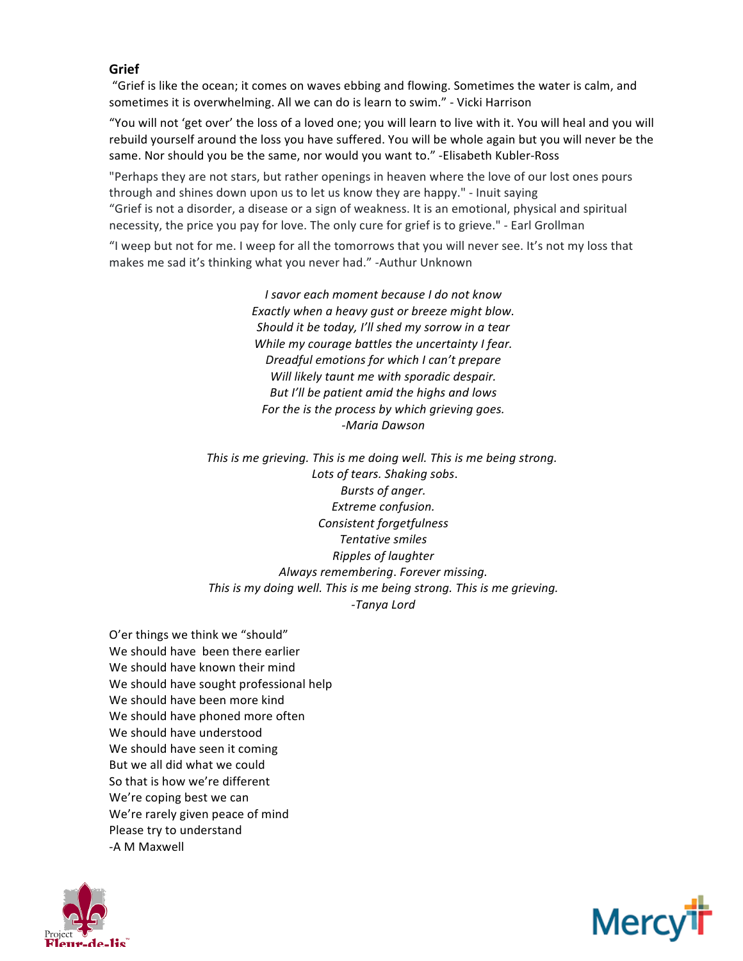## **Grief**

"Grief is like the ocean; it comes on waves ebbing and flowing. Sometimes the water is calm, and sometimes it is overwhelming. All we can do is learn to swim." - Vicki Harrison

"You will not 'get over' the loss of a loved one; you will learn to live with it. You will heal and you will rebuild yourself around the loss you have suffered. You will be whole again but you will never be the same. Nor should you be the same, nor would you want to." -Elisabeth Kubler-Ross

"Perhaps they are not stars, but rather openings in heaven where the love of our lost ones pours through and shines down upon us to let us know they are happy." - Inuit saying "Grief is not a disorder, a disease or a sign of weakness. It is an emotional, physical and spiritual necessity, the price you pay for love. The only cure for grief is to grieve." - Earl Grollman

"I weep but not for me. I weep for all the tomorrows that you will never see. It's not my loss that makes me sad it's thinking what you never had." -Authur Unknown

> *I savor each moment because I do not know* Exactly when a heavy qust or breeze might blow. Should it be today, I'll shed my sorrow in a tear *While* my courage battles the uncertainty I fear. *Dreadful emotions for which I can't prepare* Will likely taunt me with sporadic despair. But I'll be patient amid the highs and lows For the *is* the process by which grieving goes. *-Maria Dawson*

*This* is me grieving. This is me doing well. This is me being strong. *Lots of tears. Shaking sobs*. *Bursts of anger. Extreme confusion. Consistent forgetfulness Tentative smiles Ripples of laughter Always remembering*. *Forever missing. This is my doing well. This is me being strong. This is me grieving. -Tanya Lord*

O'er things we think we "should" We should have been there earlier We should have known their mind We should have sought professional help We should have been more kind We should have phoned more often We should have understood We should have seen it coming But we all did what we could So that is how we're different We're coping best we can We're rarely given peace of mind Please try to understand -A M Maxwell